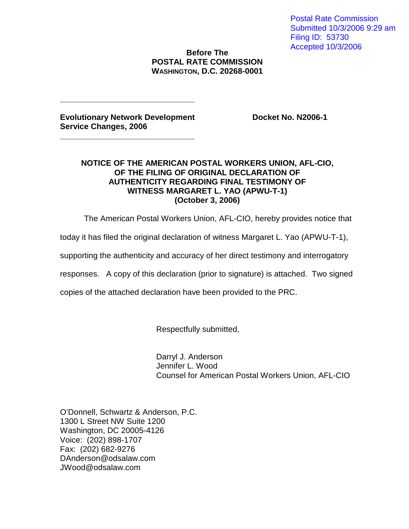Postal Rate Commission Submitted 10/3/2006 9:29 am Filing ID: 53730 Accepted 10/3/2006

## **Before The POSTAL RATE COMMISSION WASHINGTON, D.C. 20268-0001**

**Evolutionary Network Development Docket No. N2006-1 Service Changes, 2006**

**\_\_\_\_\_\_\_\_\_\_\_\_\_\_\_\_\_\_\_\_\_\_\_\_\_\_\_\_\_\_**

**\_\_\_\_\_\_\_\_\_\_\_\_\_\_\_\_\_\_\_\_\_\_\_\_\_\_\_\_\_\_**

## **NOTICE OF THE AMERICAN POSTAL WORKERS UNION, AFL-CIO, OF THE FILING OF ORIGINAL DECLARATION OF AUTHENTICITY REGARDING FINAL TESTIMONY OF WITNESS MARGARET L. YAO (APWU-T-1) (October 3, 2006)**

The American Postal Workers Union, AFL-CIO, hereby provides notice that

today it has filed the original declaration of witness Margaret L. Yao (APWU-T-1),

supporting the authenticity and accuracy of her direct testimony and interrogatory

responses. A copy of this declaration (prior to signature) is attached. Two signed

copies of the attached declaration have been provided to the PRC.

Respectfully submitted,

Darryl J. Anderson Jennifer L. Wood Counsel for American Postal Workers Union, AFL-CIO

O'Donnell, Schwartz & Anderson, P.C. 1300 L Street NW Suite 1200 Washington, DC 20005-4126 Voice: (202) 898-1707 Fax: (202) 682-9276 DAnderson@odsalaw.com JWood@odsalaw.com